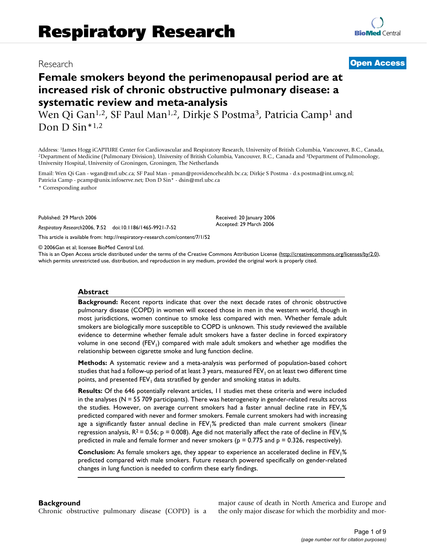# Research **[Open Access](http://www.biomedcentral.com/info/about/charter/)**

# **Female smokers beyond the perimenopausal period are at increased risk of chronic obstructive pulmonary disease: a systematic review and meta-analysis**

Wen Qi Gan<sup>1,2</sup>, SF Paul Man<sup>1,2</sup>, Dirkje S Postma<sup>3</sup>, Patricia Camp<sup>1</sup> and Don D  $\text{Sin}^{*1,2}$ 

Address: <sup>1</sup>James Hogg iCAPTURE Center for Cardiovascular and Respiratory Research, University of British Columbia, Vancouver, B.C., Canada, <sup>2</sup>Department of Medicine (Pulmonary Division), University of British Columbia, V University Hospital, University of Groningen, Groningen, The Netherlands

Email: Wen Qi Gan - wgan@mrl.ubc.ca; SF Paul Man - pman@providencehealth.bc.ca; Dirkje S Postma - d.s.postma@int.umcg.nl; Patricia Camp - pcamp@unix.infoserve.net; Don D Sin\* - dsin@mrl.ubc.ca

\* Corresponding author

Published: 29 March 2006

*Respiratory Research*2006, **7**:52 doi:10.1186/1465-9921-7-52

[This article is available from: http://respiratory-research.com/content/7/1/52](http://respiratory-research.com/content/7/1/52)

© 2006Gan et al; licensee BioMed Central Ltd.

This is an Open Access article distributed under the terms of the Creative Commons Attribution License [\(http://creativecommons.org/licenses/by/2.0\)](http://creativecommons.org/licenses/by/2.0), which permits unrestricted use, distribution, and reproduction in any medium, provided the original work is properly cited.

Received: 20 January 2006 Accepted: 29 March 2006

#### **Abstract**

**Background:** Recent reports indicate that over the next decade rates of chronic obstructive pulmonary disease (COPD) in women will exceed those in men in the western world, though in most jurisdictions, women continue to smoke less compared with men. Whether female adult smokers are biologically more susceptible to COPD is unknown. This study reviewed the available evidence to determine whether female adult smokers have a faster decline in forced expiratory volume in one second ( $FEV<sub>1</sub>$ ) compared with male adult smokers and whether age modifies the relationship between cigarette smoke and lung function decline.

**Methods:** A systematic review and a meta-analysis was performed of population-based cohort studies that had a follow-up period of at least 3 years, measured  $FEV<sub>1</sub>$  on at least two different time points, and presented  $FEV<sub>1</sub>$  data stratified by gender and smoking status in adults.

**Results:** Of the 646 potentially relevant articles, 11 studies met these criteria and were included in the analyses  $(N = 55709$  participants). There was heterogeneity in gender-related results across the studies. However, on average current smokers had a faster annual decline rate in FEV1% predicted compared with never and former smokers. Female current smokers had with increasing age a significantly faster annual decline in FEV<sub>1</sub>% predicted than male current smokers (linear regression analysis,  $R^2 = 0.56$ ; p = 0.008). Age did not materially affect the rate of decline in FEV<sub>1</sub>% predicted in male and female former and never smokers ( $p = 0.775$  and  $p = 0.326$ , respectively).

**Conclusion:** As female smokers age, they appear to experience an accelerated decline in FEV1% predicted compared with male smokers. Future research powered specifically on gender-related changes in lung function is needed to confirm these early findings.

### **Background**

Chronic obstructive pulmonary disease (COPD) is a

major cause of death in North America and Europe and the only major disease for which the morbidity and mor-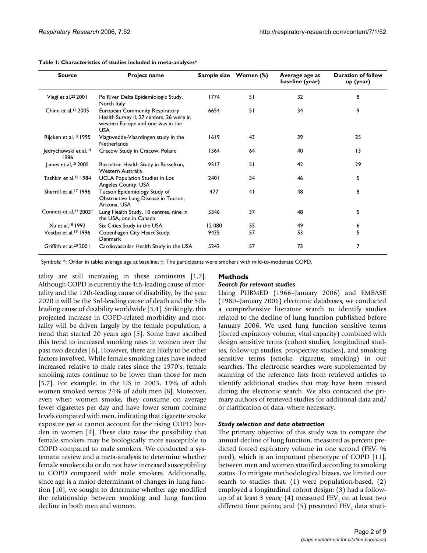| <b>Source</b>                                  | <b>Project name</b>                                                                                                                  | Sample size Women (%) |    | Average age at<br>baseline (year) | <b>Duration of follow</b><br>up (year) |  |  |
|------------------------------------------------|--------------------------------------------------------------------------------------------------------------------------------------|-----------------------|----|-----------------------------------|----------------------------------------|--|--|
| Viegi et al, $22$ 2001                         | Po River Delta Epidemiologic Study,<br>North Italy                                                                                   | 1774                  | 51 | 32                                | 8                                      |  |  |
| Chinn et al. $12$ 2005                         | <b>European Community Respiratory</b><br>Health Survey II, 27 centers, 26 were in<br>western Europe and one was in the<br><b>USA</b> | 6654                  | 51 | 34                                | 9                                      |  |  |
| Rijcken et al, <sup>13</sup> 1995              | Vlagtwedde-Vlaardingen study in the<br>Netherlands                                                                                   | 1619                  | 43 | 39                                | 25                                     |  |  |
| Jedrychowski et al, <sup>14</sup><br>1986      | Cracow Study in Cracow, Poland                                                                                                       | 1364                  | 64 | 40                                | $\overline{13}$                        |  |  |
| James et al, <sup>15</sup> 2005                | Busselton Health Study in Busselton,<br>Western Australia                                                                            | 9317                  | 51 | 42                                | 29                                     |  |  |
| Tashkin et al, <sup>16</sup> 1984              | <b>UCLA Population Studies in Los</b><br>Angeles County, USA                                                                         | 2401                  | 54 | 46                                | 5                                      |  |  |
| Sherrill et al. <sup>17</sup> 1996             | Tucson Epidemiology Study of<br>Obstructive Lung Disease in Tucson,<br>Arizona, USA                                                  | 477                   | 41 | 48                                | 8                                      |  |  |
| Connett et al, <sup>23</sup> 2003 <sup>†</sup> | Lung Health Study, 10 centres, nine in<br>the USA, one in Canada                                                                     | 5346                  | 37 | 48                                | 5                                      |  |  |
| Xu et al, <sup>18</sup> 1992                   | Six Cities Study in the USA                                                                                                          | 12 080                | 55 | 49                                | 6                                      |  |  |
| Vestbo et al, <sup>19</sup> 1996               | Copenhagen City Heart Study,<br>Denmark                                                                                              | 9435                  | 57 | 53                                | 5                                      |  |  |
| Griffith et al, <sup>20</sup> 2001             | Cardiovascular Health Study in the USA                                                                                               | 5242                  | 57 | 73                                | 7                                      |  |  |

#### **Table 1: Characteristics of studies included in meta-analyses\***

Symbols: \*: Order in table: average age at baseline; †: The participants were smokers with mild-to-moderate COPD.

tality are still increasing in these continents [1,2]. Although COPD is currently the 4th-leading cause of mortality and the 12th-leading cause of disability, by the year 2020 it will be the 3rd-leading cause of death and the 5thleading cause of disability worldwide [3,4]. Strikingly, this projected increase in COPD-related morbidity and mortality will be driven largely by the female population, a trend that started 20 years ago [5]. Some have ascribed this trend to increased smoking rates in women over the past two decades [6]. However, there are likely to be other factors involved. While female smoking rates have indeed increased relative to male rates since the 1970's, female smoking rates continue to be lower than those for men [5,7]. For example, in the US in 2003, 19% of adult women smoked versus 24% of adult men [8]. Moreover, even when women smoke, they consume on average fewer cigarettes per day and have lower serum cotinine levels compared with men, indicating that cigarette smoke exposure *per se* cannot account for the rising COPD burden in women [9]. These data raise the possibility that female smokers may be biologically more susceptible to COPD compared to male smokers. We conducted a systematic review and a meta-analysis to determine whether female smokers do or do not have increased susceptibility to COPD compared with male smokers. Additionally, since age is a major determinant of changes in lung function [10], we sought to determine whether age modified the relationship between smoking and lung function decline in both men and women.

# **Methods**

### *Search for relevant studies*

Using PUBMED (1966–January 2006) and EMBASE (1980–January 2006) electronic databases, we conducted a comprehensive literature search to identify studies related to the decline of lung function published before January 2006. We used lung function sensitive terms (forced expiratory volume, vital capacity) combined with design sensitive terms (cohort studies, longitudinal studies, follow-up studies, prospective studies), and smoking sensitive terms (smoke, cigarette, smoking) in our searches. The electronic searches were supplemented by scanning of the reference lists from retrieved articles to identify additional studies that may have been missed during the electronic search. We also contacted the primary authors of retrieved studies for additional data and/ or clarification of data, where necessary.

#### *Study selection and data abstraction*

The primary objective of this study was to compare the annual decline of lung function, measured as percent predicted forced expiratory volume in one second (FEV<sub>1</sub> % pred), which is an important phenotype of COPD [11], between men and women stratified according to smoking status. To mitigate methodological biases, we limited our search to studies that: (1) were population-based; (2) employed a longitudinal cohort design; (3) had a followup of at least 3 years; (4) measured  $FEV<sub>1</sub>$  on at least two different time points; and (5) presented  $FEV_1$  data strati-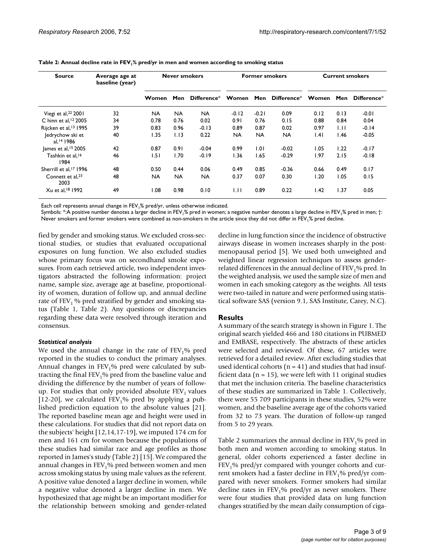| <b>Source</b>                              | Average age at<br>baseline (year) | <b>Never smokers</b> |           | <b>Former smokers</b>   |           |           | <b>Current smokers</b> |      |      |                 |
|--------------------------------------------|-----------------------------------|----------------------|-----------|-------------------------|-----------|-----------|------------------------|------|------|-----------------|
|                                            |                                   | <b>Women</b>         | Men       | $\mathsf{Difference}^*$ | Women     |           | Men Difference* Women  |      |      | Men Difference* |
| Viegi et al, $22$ 2001                     | 32                                | <b>NA</b>            | <b>NA</b> | <b>NA</b>               | $-0.12$   | $-0.21$   | 0.09                   | 0.12 | 0.13 | $-0.01$         |
| C hinn et al, 12 2005                      | 34                                | 0.78                 | 0.76      | 0.02                    | 0.91      | 0.76      | 0.15                   | 0.88 | 0.84 | 0.04            |
| Rijcken et al, <sup>13</sup> 1995          | 39                                | 0.83                 | 0.96      | $-0.13$                 | 0.89      | 0.87      | 0.02                   | 0.97 | ЫI   | $-0.14$         |
| Jedrychow ski et<br>al. <sup>14</sup> 1986 | 40                                | 1.35                 | 1.13      | 0.22                    | <b>NA</b> | <b>NA</b> | <b>NA</b>              | .4   | l.46 | $-0.05$         |
| James et al, <sup>15</sup> 2005            | 42                                | 0.87                 | 0.91      | $-0.04$                 | 0.99      | 1.01      | $-0.02$                | 1.05 | 1.22 | $-0.17$         |
| Tashkin et al. <sup>16</sup><br>1984       | 46                                | 1.51                 | 1.70      | $-0.19$                 | 1.36      | 1.65      | $-0.29$                | 1.97 | 2.15 | $-0.18$         |
| Sherrill et al, <sup>17</sup> 1996         | 48                                | 0.50                 | 0.44      | 0.06                    | 0.49      | 0.85      | $-0.36$                | 0.66 | 0.49 | 0.17            |
| Connett et al, <sup>23</sup><br>2003       | 48                                | <b>NA</b>            | <b>NA</b> | <b>NA</b>               | 0.37      | 0.07      | 0.30                   | 1.20 | 1.05 | 0.15            |
| Xu et al, <sup>18</sup> 1992               | 49                                | 1.08                 | 0.98      | 0.10                    | 1.11      | 0.89      | 0.22                   | 1.42 | 1.37 | 0.05            |

Table 2: Annual decline rate in FEV<sub>1</sub>% pred/yr in men and women according to smoking status

Each cell represents annual change in FEV<sub>1</sub>% pred/yr, unless otherwise indicated.

Symbols: \*:A positive number denotes a larger decline in FEV<sub>1</sub>% pred in women; a negative number denotes a large decline in FEV<sub>1</sub>% pred in men; †: Never smokers and former smokers were combined as non-smokers in the article since they did not differ in FEV<sub>1</sub>% pred decline.

fied by gender and smoking status. We excluded cross-sectional studies, or studies that evaluated occupational exposures on lung function. We also excluded studies whose primary focus was on secondhand smoke exposures. From each retrieved article, two independent investigators abstracted the following information: project name, sample size, average age at baseline, proportionality of women, duration of follow up, and annual decline rate of  $FEV<sub>1</sub>$ % pred stratified by gender and smoking status (Table 1, Table 2). Any questions or discrepancies regarding these data were resolved through iteration and consensus.

### *Statistical analysis*

We used the annual change in the rate of  $FEV<sub>1</sub>%$  pred reported in the studies to conduct the primary analyses. Annual changes in  $FEV<sub>1</sub>$ % pred were calculated by subtracting the final  $FEV<sub>1</sub>$ % pred from the baseline value and dividing the difference by the number of years of followup. For studies that only provided absolute  $FEV<sub>1</sub>$  values [12-20], we calculated FEV<sub>1</sub>% pred by applying a published prediction equation to the absolute values [21]. The reported baseline mean age and height were used in these calculations. For studies that did not report data on the subjects' height [12,14,17-19], we imputed 174 cm for men and 161 cm for women because the populations of these studies had similar race and age profiles as those reported in James's study (Table 2) [15]. We compared the annual changes in  $FEV<sub>1</sub>$ % pred between women and men across smoking status by using male values as the referent. A positive value denoted a larger decline in women, while a negative value denoted a larger decline in men. We hypothesized that age might be an important modifier for the relationship between smoking and gender-related

decline in lung function since the incidence of obstructive airways disease in women increases sharply in the postmenopausal period [5]. We used both unweighted and weighted linear regression techniques to assess genderrelated differences in the annual decline of  $FEV<sub>1</sub>$ % pred. In the weighted analysis, we used the sample size of men and women in each smoking category as the weights. All tests were two-tailed in nature and were performed using statistical software SAS (version 9.1, SAS Institute, Carey, N.C).

# **Results**

A summary of the search strategy is shown in Figure 1. The original search yielded 466 and 180 citations in PUBMED and EMBASE, respectively. The abstracts of these articles were selected and reviewed. Of these, 67 articles were retrieved for a detailed review. After excluding studies that used identical cohorts ( $n = 41$ ) and studies that had insufficient data ( $n = 15$ ), we were left with 11 original studies that met the inclusion criteria. The baseline characteristics of these studies are summarized in Table 1. Collectively, there were 55 709 participants in these studies, 52% were women, and the baseline average age of the cohorts varied from 32 to 73 years. The duration of follow-up ranged from 5 to 29 years.

Table 2 summarizes the annual decline in  $FEV<sub>1</sub>$ % pred in both men and women according to smoking status. In general, older cohorts experienced a faster decline in  $FEV<sub>1</sub>$ % pred/yr compared with younger cohorts and current smokers had a faster decline in  $FEV<sub>1</sub>% pred/yr com$ pared with never smokers. Former smokers had similar decline rates in  $FEV<sub>1</sub>% pred/yr$  as never smokers. There were four studies that provided data on lung function changes stratified by the mean daily consumption of ciga-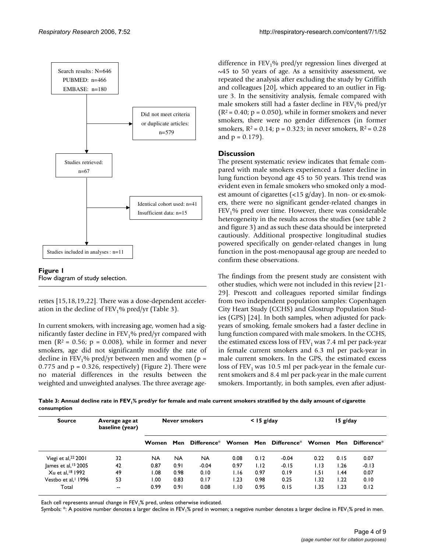

#### Figure 1 Flow diagram of study selection.

rettes [15,18,19,22]. There was a dose-dependent acceleration in the decline of  $FEV<sub>1</sub>$ % pred/yr (Table 3).

In current smokers, with increasing age, women had a significantly faster decline in  $FEV<sub>1</sub>$ % pred/yr compared with men ( $R^2$  = 0.56;  $p$  = 0.008), while in former and never smokers, age did not significantly modify the rate of decline in FEV<sub>1</sub>% pred/yr between men and women ( $p =$ 0.775 and  $p = 0.326$ , respectively) (Figure 2). There were no material differences in the results between the weighted and unweighted analyses. The three average agedifference in  $FEV<sub>1</sub>$ % pred/yr regression lines diverged at  $\sim$ 45 to 50 years of age. As a sensitivity assessment, we repeated the analysis after excluding the study by Griffith and colleagues [20], which appeared to an outlier in Figure 3. In the sensitivity analysis, female compared with male smokers still had a faster decline in  $FEV<sub>1</sub>%$  pred/yr  $(R<sup>2</sup> = 0.40; p = 0.050)$ , while in former smokers and never smokers, there were no gender differences (in former smokers,  $R^2 = 0.14$ ;  $p = 0.323$ ; in never smokers,  $R^2 = 0.28$ and  $p = 0.179$ ).

## **Discussion**

The present systematic review indicates that female compared with male smokers experienced a faster decline in lung function beyond age 45 to 50 years. This trend was evident even in female smokers who smoked only a modest amount of cigarettes (<15 g/day). In non- or ex-smokers, there were no significant gender-related changes in  $FEV<sub>1</sub>$ % pred over time. However, there was considerable heterogeneity in the results across the studies (see table 2 and figure 3) and as such these data should be interpreted cautiously. Additional prospective longitudinal studies powered specifically on gender-related changes in lung function in the post-menopausal age group are needed to confirm these observations.

The findings from the present study are consistent with other studies, which were not included in this review [21- 29]. Prescott and colleagues reported similar findings from two independent population samples: Copenhagen City Heart Study (CCHS) and Glostrup Population Studies (GPS) [24]. In both samples, when adjusted for packyears of smoking, female smokers had a faster decline in lung function compared with male smokers. In the CCHS, the estimated excess loss of  $FEV<sub>1</sub>$  was 7.4 ml per pack-year in female current smokers and 6.3 ml per pack-year in male current smokers. In the GPS, the estimated excess loss of  $FEV<sub>1</sub>$  was 10.5 ml per pack-year in the female current smokers and 8.4 ml per pack-year in the male current smokers. Importantly, in both samples, even after adjust-

**Table 3: Annual decline rate in FEV1% pred/yr for female and male current smokers stratified by the daily amount of cigarette consumption**

| <b>Source</b>                   | Average age at<br>baseline (year) | <b>Never smokers</b> |           | $<$ 15 g/day |      |      | $15$ g/day                              |      |       |                 |
|---------------------------------|-----------------------------------|----------------------|-----------|--------------|------|------|-----------------------------------------|------|-------|-----------------|
|                                 |                                   | Women                | Men       |              |      |      | Difference* Women Men Difference* Women |      |       | Men Difference* |
| Viegi et al, $22$ 2001          | 32                                | <b>NA</b>            | <b>NA</b> | <b>NA</b>    | 0.08 | 0.12 | $-0.04$                                 | 0.22 | 0.15  | 0.07            |
| James et al, $15$ 2005          | 42                                | 0.87                 | 0.91      | $-0.04$      | 0.97 | 1.12 | $-0.15$                                 | 1.13 | I.26  | $-0.13$         |
| Xu et al, <sup>18</sup> 1992    | 49                                | 0.08                 | 0.98      | 0.10         | 1.16 | 0.97 | 0.19                                    | 1.51 | l .44 | 0.07            |
| Vestbo et al. <sup>1</sup> 1996 | 53                                | 1.00                 | 0.83      | 0.17         | I.23 | 0.98 | 0.25                                    | 1.32 | 1.22  | 0.10            |
| Total                           | --                                | 0.99                 | 0.91      | 0.08         | I.IO | 0.95 | 0.15                                    | 1.35 | I.23  | 0.12            |

Each cell represents annual change in FEV<sub>1</sub>% pred, unless otherwise indicated.

Symbols: \*: A positive number denotes a larger decline in FEV<sub>1</sub>% pred in women; a negative number denotes a larger decline in FEV<sub>1</sub>% pred in men.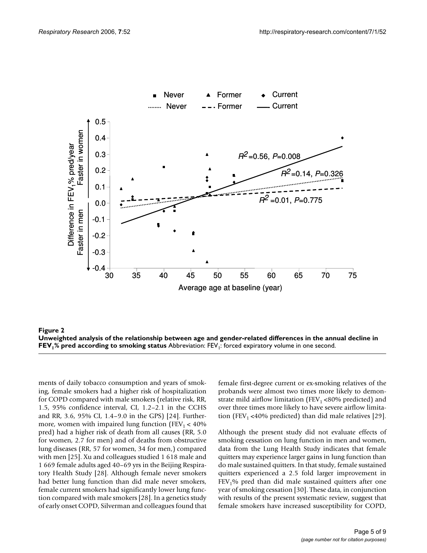



ments of daily tobacco consumption and years of smoking, female smokers had a higher risk of hospitalization for COPD compared with male smokers (relative risk, RR, 1.5, 95% confidence interval, CI, 1.2–2.1 in the CCHS and RR, 3.6, 95% CI, 1.4–9.0 in the GPS) [24]. Furthermore, women with impaired lung function ( $FEV<sub>1</sub> < 40%$ ) pred) had a higher risk of death from all causes (RR, 5.0 for women, 2.7 for men) and of deaths from obstructive lung diseases (RR, 57 for women, 34 for men,) compared with men [25]. Xu and colleagues studied 1 618 male and 1 669 female adults aged 40–69 yrs in the Beijing Respiratory Health Study [28]. Although female never smokers had better lung function than did male never smokers, female current smokers had significantly lower lung function compared with male smokers [28]. In a genetics study of early onset COPD, Silverman and colleagues found that

female first-degree current or ex-smoking relatives of the probands were almost two times more likely to demonstrate mild airflow limitation (FEV<sub>1</sub> <80% predicted) and over three times more likely to have severe airflow limitation (FEV<sub>1</sub> <40% predicted) than did male relatives [29].

Although the present study did not evaluate effects of smoking cessation on lung function in men and women, data from the Lung Health Study indicates that female quitters may experience larger gains in lung function than do male sustained quitters. In that study, female sustained quitters experienced a 2.5 fold larger improvement in  $FEV<sub>1</sub>$ % pred than did male sustained quitters after one year of smoking cessation [30]. These data, in conjunction with results of the present systematic review, suggest that female smokers have increased susceptibility for COPD,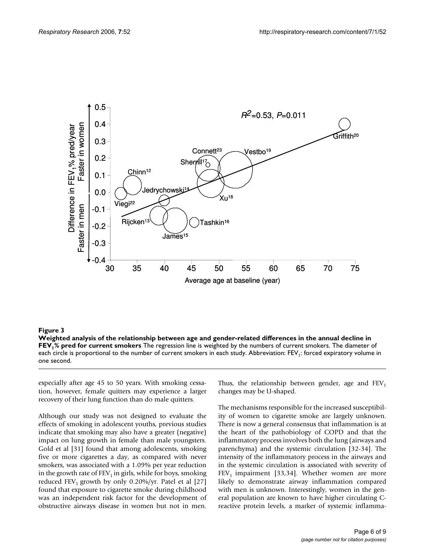

**Figure 3** Weighted analysis of the relationship between age analysis of the annual decline in FEV1% pred for cur-**Weighted analysis of the relationship between age and gender-related differences in the annual decline in FEV1% pred for current smokers** The regression line is weighted by the numbers of current smokers. The diameter of each circle is proportional to the number of current smokers in each study. Abbreviation: FEV<sub>1</sub>: forced expiratory volume in one second.

especially after age 45 to 50 years. With smoking cessation, however, female quitters may experience a larger recovery of their lung function than do male quitters.

Although our study was not designed to evaluate the effects of smoking in adolescent youths, previous studies indicate that smoking may also have a greater (negative) impact on lung growth in female than male youngsters. Gold et al [31] found that among adolescents, smoking five or more cigarettes a day, as compared with never smokers, was associated with a 1.09% per year reduction in the growth rate of  $FEV<sub>1</sub>$  in girls, while for boys, smoking reduced FEV<sub>1</sub> growth by only 0.20%/yr. Patel et al [27] found that exposure to cigarette smoke during childhood was an independent risk factor for the development of obstructive airways disease in women but not in men.

Thus, the relationship between gender, age and  $FEV<sub>1</sub>$ changes may be U-shaped.

The mechanisms responsible for the increased susceptibility of women to cigarette smoke are largely unknown. There is now a general consensus that inflammation is at the heart of the pathobiology of COPD and that the inflammatory process involves both the lung (airways and parenchyma) and the systemic circulation [32-34]. The intensity of the inflammatory process in the airways and in the systemic circulation is associated with severity of  $FEV<sub>1</sub>$  impairment [33,34]. Whether women are more likely to demonstrate airway inflammation compared with men is unknown. Interestingly, women in the general population are known to have higher circulating Creactive protein levels, a marker of systemic inflamma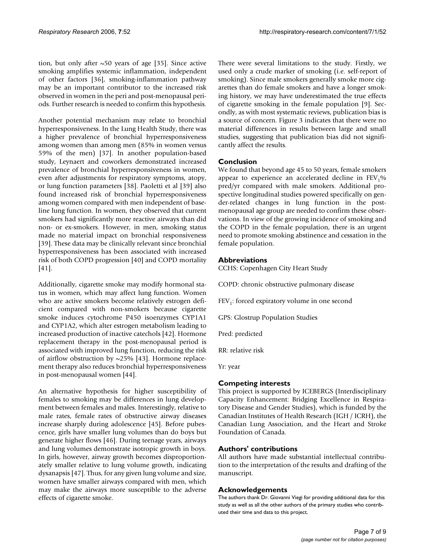tion, but only after  $\sim$  50 years of age [35]. Since active smoking amplifies systemic inflammation, independent of other factors [36], smoking-inflammation pathway may be an important contributor to the increased risk observed in women in the peri and post-menopausal periods. Further research is needed to confirm this hypothesis.

Another potential mechanism may relate to bronchial hyperresponsiveness. In the Lung Health Study, there was a higher prevalence of bronchial hyperresponsiveness among women than among men (85% in women versus 59% of the men) [37]. In another population-based study, Leynaert and coworkers demonstrated increased prevalence of bronchial hyperresponsiveness in women, even after adjustments for respiratory symptoms, atopy, or lung function parameters [38]. Paoletti et al [39] also found increased risk of bronchial hyperresponsiveness among women compared with men independent of baseline lung function. In women, they observed that current smokers had significantly more reactive airways than did non- or ex-smokers. However, in men, smoking status made no material impact on bronchial responsiveness [39]. These data may be clinically relevant since bronchial hyperresponsiveness has been associated with increased risk of both COPD progression [40] and COPD mortality [41].

Additionally, cigarette smoke may modify hormonal status in women, which may affect lung function. Women who are active smokers become relatively estrogen deficient compared with non-smokers because cigarette smoke induces cytochrome P450 isoenzymes CYP1A1 and CYP1A2, which alter estrogen metabolism leading to increased production of inactive catechols [42]. Hormone replacement therapy in the post-menopausal period is associated with improved lung function, reducing the risk of airflow obstruction by  $\sim$ 25% [43]. Hormone replacement therapy also reduces bronchial hyperresponsiveness in post-menopausal women [44].

An alternative hypothesis for higher susceptibility of females to smoking may be differences in lung development between females and males. Interestingly, relative to male rates, female rates of obstructive airway diseases increase sharply during adolescence [45]. Before pubescence, girls have smaller lung volumes than do boys but generate higher flows [46]. During teenage years, airways and lung volumes demonstrate isotropic growth in boys. In girls, however, airway growth becomes disproportionately smaller relative to lung volume growth, indicating dysanapsis [47]. Thus, for any given lung volume and size, women have smaller airways compared with men, which may make the airways more susceptible to the adverse effects of cigarette smoke.

There were several limitations to the study. Firstly, we used only a crude marker of smoking (i.e. self-report of smoking). Since male smokers generally smoke more cigarettes than do female smokers and have a longer smoking history, we may have underestimated the true effects of cigarette smoking in the female population [9]. Secondly, as with most systematic reviews, publication bias is a source of concern. Figure 3 indicates that there were no material differences in results between large and small studies, suggesting that publication bias did not significantly affect the results.

## **Conclusion**

We found that beyond age 45 to 50 years, female smokers appear to experience an accelerated decline in  $FEV<sub>1</sub>%$ pred/yr compared with male smokers. Additional prospective longitudinal studies powered specifically on gender-related changes in lung function in the postmenopausal age group are needed to confirm these observations. In view of the growing incidence of smoking and the COPD in the female population, there is an urgent need to promote smoking abstinence and cessation in the female population.

## **Abbreviations**

CCHS: Copenhagen City Heart Study

COPD: chronic obstructive pulmonary disease

 $FEV<sub>1</sub>$ : forced expiratory volume in one second

GPS: Glostrup Population Studies

Pred: predicted

RR: relative risk

Yr: year

# **Competing interests**

This project is supported by ICEBERGS (Interdisciplinary Capacity Enhancement: Bridging Excellence in Respiratory Disease and Gender Studies), which is funded by the Canadian Institutes of Health Research (IGH / ICRH), the Canadian Lung Association, and the Heart and Stroke Foundation of Canada.

### **Authors' contributions**

All authors have made substantial intellectual contribution to the interpretation of the results and drafting of the manuscript.

### **Acknowledgements**

The authors thank Dr. Giovanni Viegi for providing additional data for this study as well as all the other authors of the primary studies who contributed their time and data to this project.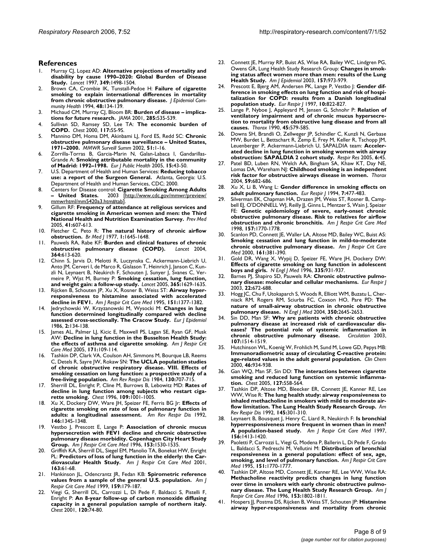#### **References**

- 1. Murray CJ, Lopez AD: **[Alternative projections of mortality and](http://www.ncbi.nlm.nih.gov/entrez/query.fcgi?cmd=Retrieve&db=PubMed&dopt=Abstract&list_uids=9167458) [disability by cause 1990–2020: Global Burden of Disease](http://www.ncbi.nlm.nih.gov/entrez/query.fcgi?cmd=Retrieve&db=PubMed&dopt=Abstract&list_uids=9167458) [Study.](http://www.ncbi.nlm.nih.gov/entrez/query.fcgi?cmd=Retrieve&db=PubMed&dopt=Abstract&list_uids=9167458)** *Lancet* 1997, **349:**1498-1504.
- 2. Brown CA, Crombie IK, Tunstall-Pedoe H: **[Failure of cigarette](http://www.ncbi.nlm.nih.gov/entrez/query.fcgi?cmd=Retrieve&db=PubMed&dopt=Abstract&list_uids=8189166) [smoking to explain international differences in mortality](http://www.ncbi.nlm.nih.gov/entrez/query.fcgi?cmd=Retrieve&db=PubMed&dopt=Abstract&list_uids=8189166) [from chronic obstructive pulmonary disease.](http://www.ncbi.nlm.nih.gov/entrez/query.fcgi?cmd=Retrieve&db=PubMed&dopt=Abstract&list_uids=8189166)** *J Epidemiol Community Health* 1994, **48:**134-139.
- 3. Michaud CM, Murray CJ, Bloom BR: **[Burden of disease implica](http://www.ncbi.nlm.nih.gov/entrez/query.fcgi?cmd=Retrieve&db=PubMed&dopt=Abstract&list_uids=11176854)[tions for future research.](http://www.ncbi.nlm.nih.gov/entrez/query.fcgi?cmd=Retrieve&db=PubMed&dopt=Abstract&list_uids=11176854)** *JAMA* 2001, **285:**535-539.
- 4. Sullivan SD, Ramsey SD, Lee TA: **[The economic burden of](http://www.ncbi.nlm.nih.gov/entrez/query.fcgi?cmd=Retrieve&db=PubMed&dopt=Abstract&list_uids=10673466) [COPD.](http://www.ncbi.nlm.nih.gov/entrez/query.fcgi?cmd=Retrieve&db=PubMed&dopt=Abstract&list_uids=10673466)** *Chest* 2000, **117:**5S-9S.
- 5. Mannino DM, Homa DM, Akinbami LJ, Ford ES, Redd SC: **Chronic obstructive pulmonary disease surveillance – United States, 1971–2000.** *MMWR Surveill Summ* 2002, **51:**1-16.
- 6. Zorrilla-Torras B, Garcia-Marin N, Galan-Labaca I, Gandarillas-Grande A: **[Smoking attributable mortality in the community](http://www.ncbi.nlm.nih.gov/entrez/query.fcgi?cmd=Retrieve&db=PubMed&dopt=Abstract&list_uids=15788803) [of Madrid: 1992–1998.](http://www.ncbi.nlm.nih.gov/entrez/query.fcgi?cmd=Retrieve&db=PubMed&dopt=Abstract&list_uids=15788803)** *Eur J Public Health* 2005, **15:**43-50.
- 7. U.S. Department of Health and Human Services: **Reducing tobacco use: a report of the Surgeon General.** Atlanta, Georgia: U.S. Department of Health and Human Services, CDC; 2000.
- 8. Centers for Disease control: **Cigarette Smoking Among Adults – United States.** 2003 [[http://www.cdc.gov/mmwr/preview/](http://www.cdc.gov/mmwr/preview/mmwrhtml/mm5420a3.htm#tab) [mmwrhtml/mm5420a3.htm#tab](http://www.cdc.gov/mmwr/preview/mmwrhtml/mm5420a3.htm#tab)].
- 9. Gillum RF: **[Frequency of attendance at religious services and](http://www.ncbi.nlm.nih.gov/entrez/query.fcgi?cmd=Retrieve&db=PubMed&dopt=Abstract&list_uids=15917059) [cigarette smoking in American women and men: the Third](http://www.ncbi.nlm.nih.gov/entrez/query.fcgi?cmd=Retrieve&db=PubMed&dopt=Abstract&list_uids=15917059) [National Health and Nutrition Examination Survey.](http://www.ncbi.nlm.nih.gov/entrez/query.fcgi?cmd=Retrieve&db=PubMed&dopt=Abstract&list_uids=15917059)** *Prev Med* 2005, **41:**607-613.
- 10. Fletcher C, Peto R: **[The natural history of chronic airflow](http://www.ncbi.nlm.nih.gov/entrez/query.fcgi?cmd=Retrieve&db=PubMed&dopt=Abstract&list_uids=871704) [obstruction.](http://www.ncbi.nlm.nih.gov/entrez/query.fcgi?cmd=Retrieve&db=PubMed&dopt=Abstract&list_uids=871704)** *Br Med J* 1977, **1:**1645-1648.
- Pauwels RA, Rabe KF: [Burden and clinical features of chronic](http://www.ncbi.nlm.nih.gov/entrez/query.fcgi?cmd=Retrieve&db=PubMed&dopt=Abstract&list_uids=15313363) **[obstructive pulmonary disease \(COPD\).](http://www.ncbi.nlm.nih.gov/entrez/query.fcgi?cmd=Retrieve&db=PubMed&dopt=Abstract&list_uids=15313363)** *Lancet* 2004, **364:**613-620.
- 12. Chinn S, Jarvis D, Melotti R, Luczynska C, Ackermann-Liebrich U, Anto JM, Cerveri I, de Marco R, Gislason T, Heinrich J, Janson C, Kunzli N, Leynaert B, Neukirch F, Schouten J, Sunyer J, Svanes C, Vermeire P, Wjst M, Burney P: **[Smoking cessation, lung function,](http://www.ncbi.nlm.nih.gov/entrez/query.fcgi?cmd=Retrieve&db=PubMed&dopt=Abstract&list_uids=15885295) [and weight gain: a follow-up study.](http://www.ncbi.nlm.nih.gov/entrez/query.fcgi?cmd=Retrieve&db=PubMed&dopt=Abstract&list_uids=15885295)** *Lancet* 2005, **365:**1629-1635.
- 13. Rijcken B, Schouten JP, Xu X, Rosner B, Weiss ST: **[Airway hyper](http://www.ncbi.nlm.nih.gov/entrez/query.fcgi?cmd=Retrieve&db=PubMed&dopt=Abstract&list_uids=7735588)[responsiveness to histamine associated with accelerated](http://www.ncbi.nlm.nih.gov/entrez/query.fcgi?cmd=Retrieve&db=PubMed&dopt=Abstract&list_uids=7735588) [decline in FEV1.](http://www.ncbi.nlm.nih.gov/entrez/query.fcgi?cmd=Retrieve&db=PubMed&dopt=Abstract&list_uids=7735588)** *Am J Respir Crit Care Med* 1995, **151:**1377-1382.
- 14. Jedrychowski W, Krzyzanowski M, Wysocki M: **[Changes in lung](http://www.ncbi.nlm.nih.gov/entrez/query.fcgi?cmd=Retrieve&db=PubMed&dopt=Abstract&list_uids=3490397) [function determined longitudinally compared with decline](http://www.ncbi.nlm.nih.gov/entrez/query.fcgi?cmd=Retrieve&db=PubMed&dopt=Abstract&list_uids=3490397) [assessed cross-sectionally. The Cracow Study.](http://www.ncbi.nlm.nih.gov/entrez/query.fcgi?cmd=Retrieve&db=PubMed&dopt=Abstract&list_uids=3490397)** *Eur J Epidemiol* 1986, **2:**134-138.
- 15. James AL, Palmer LJ, Kicic E, Maxwell PS, Lagan SE, Ryan GF, Musk AW: **[Decline in lung function in the Busselton Health Study:](http://www.ncbi.nlm.nih.gov/entrez/query.fcgi?cmd=Retrieve&db=PubMed&dopt=Abstract&list_uids=15486340) [the effects of asthma and cigarette smoking.](http://www.ncbi.nlm.nih.gov/entrez/query.fcgi?cmd=Retrieve&db=PubMed&dopt=Abstract&list_uids=15486340)** *Am J Respir Crit Care Med* 2005, **171:**109-114.
- 16. Tashkin DP, Clark VA, Coulson AH, Simmons M, Bourque LB, Reems C, Detels R, Sayre JW, Rokaw SN: **[The UCLA population studies](http://www.ncbi.nlm.nih.gov/entrez/query.fcgi?cmd=Retrieve&db=PubMed&dopt=Abstract&list_uids=6497153) of chronic obstructive respiratory disease. VIII. Effects of [smoking cessation on lung function: a prospective study of a](http://www.ncbi.nlm.nih.gov/entrez/query.fcgi?cmd=Retrieve&db=PubMed&dopt=Abstract&list_uids=6497153) [free-living population.](http://www.ncbi.nlm.nih.gov/entrez/query.fcgi?cmd=Retrieve&db=PubMed&dopt=Abstract&list_uids=6497153)** *Am Rev Respir Dis* 1984, **130:**707-715.
- 17. Sherrill DL, Enright P, Cline M, Burrows B, Lebowitz MD: **[Rates of](http://www.ncbi.nlm.nih.gov/entrez/query.fcgi?cmd=Retrieve&db=PubMed&dopt=Abstract&list_uids=8635322) [decline in lung function among subjects who restart ciga](http://www.ncbi.nlm.nih.gov/entrez/query.fcgi?cmd=Retrieve&db=PubMed&dopt=Abstract&list_uids=8635322)[rette smoking.](http://www.ncbi.nlm.nih.gov/entrez/query.fcgi?cmd=Retrieve&db=PubMed&dopt=Abstract&list_uids=8635322)** *Chest* 1996, **109:**1001-1005.
- 18. Xu X, Dockery DW, Ware JH, Speizer FE, Ferris BG Jr: **[Effects of](http://www.ncbi.nlm.nih.gov/entrez/query.fcgi?cmd=Retrieve&db=PubMed&dopt=Abstract&list_uids=1443894) [cigarette smoking on rate of loss of pulmonary function in](http://www.ncbi.nlm.nih.gov/entrez/query.fcgi?cmd=Retrieve&db=PubMed&dopt=Abstract&list_uids=1443894) [adults: a longitudinal assessment.](http://www.ncbi.nlm.nih.gov/entrez/query.fcgi?cmd=Retrieve&db=PubMed&dopt=Abstract&list_uids=1443894)** *Am Rev Respir Dis* 1992, **146:**1345-1348.
- 19. Vestbo J, Prescott E, Lange P: **[Association of chronic mucus](http://www.ncbi.nlm.nih.gov/entrez/query.fcgi?cmd=Retrieve&db=PubMed&dopt=Abstract&list_uids=8630597) hypersecretion with FEV1 decline and chronic obstructive [pulmonary disease morbidity. Copenhagen City Heart Study](http://www.ncbi.nlm.nih.gov/entrez/query.fcgi?cmd=Retrieve&db=PubMed&dopt=Abstract&list_uids=8630597) [Group.](http://www.ncbi.nlm.nih.gov/entrez/query.fcgi?cmd=Retrieve&db=PubMed&dopt=Abstract&list_uids=8630597)** *Am J Respir Crit Care Med* 1996, **153:**1530-1535.
- 20. Griffith KA, Sherrill DL, Siegel EM, Manolio TA, Bonekat HW, Enright PL: **[Predictors of loss of lung function in the elderly: the Car](http://www.ncbi.nlm.nih.gov/entrez/query.fcgi?cmd=Retrieve&db=PubMed&dopt=Abstract&list_uids=11208627)[diovascular Health Study.](http://www.ncbi.nlm.nih.gov/entrez/query.fcgi?cmd=Retrieve&db=PubMed&dopt=Abstract&list_uids=11208627)** *Am J Respir Crit Care Med* 2001, **163:**61-68.
- 21. Hankinson JL, Odencrantz JR, Fedan KB: **[Spirometric reference](http://www.ncbi.nlm.nih.gov/entrez/query.fcgi?cmd=Retrieve&db=PubMed&dopt=Abstract&list_uids=9872837) [values from a sample of the general U.S. population.](http://www.ncbi.nlm.nih.gov/entrez/query.fcgi?cmd=Retrieve&db=PubMed&dopt=Abstract&list_uids=9872837)** *Am J Respir Crit Care Med* 1999, **159:**179-187.
- 22. Viegi G, Sherrill DL, Carrozzi L, Di Pede F, Baldacci S, Pistelli F, Enright P: **[An 8-year follow-up of carbon monoxide diffusing](http://www.ncbi.nlm.nih.gov/entrez/query.fcgi?cmd=Retrieve&db=PubMed&dopt=Abstract&list_uids=11451819) [capacity in a general population sample of northern italy.](http://www.ncbi.nlm.nih.gov/entrez/query.fcgi?cmd=Retrieve&db=PubMed&dopt=Abstract&list_uids=11451819)** *Chest* 2001, **120:**74-80.
- 23. Connett JE, Murray RP, Buist AS, Wise RA, Bailey WC, Lindgren PG, Owens GR, Lung Health Study Research Group: **[Changes in smok](http://www.ncbi.nlm.nih.gov/entrez/query.fcgi?cmd=Retrieve&db=PubMed&dopt=Abstract&list_uids=12777360)[ing status affect women more than men: results of the Lung](http://www.ncbi.nlm.nih.gov/entrez/query.fcgi?cmd=Retrieve&db=PubMed&dopt=Abstract&list_uids=12777360) [Health Study.](http://www.ncbi.nlm.nih.gov/entrez/query.fcgi?cmd=Retrieve&db=PubMed&dopt=Abstract&list_uids=12777360)** *Am J Epidemiol* 2003, **157:**973-979.
- 24. Prescott E, Bjerg AM, Andersen PK, Lange P, Vestbo J: **[Gender dif](http://www.ncbi.nlm.nih.gov/entrez/query.fcgi?cmd=Retrieve&db=PubMed&dopt=Abstract&list_uids=9150319)ference in smoking effects on lung function and risk of hospi[talization for COPD: results from a Danish longitudinal](http://www.ncbi.nlm.nih.gov/entrez/query.fcgi?cmd=Retrieve&db=PubMed&dopt=Abstract&list_uids=9150319) [population study.](http://www.ncbi.nlm.nih.gov/entrez/query.fcgi?cmd=Retrieve&db=PubMed&dopt=Abstract&list_uids=9150319)** *Eur Respir J* 1997, **10:**822-827.
- Lange P, Nyboe J, Appleyard M, Jensen G, Schnohr P: [Relation of](http://www.ncbi.nlm.nih.gov/entrez/query.fcgi?cmd=Retrieve&db=PubMed&dopt=Abstract&list_uids=2402719) **ventilatory impairment and of chronic mucus hypersecre[tion to mortality from obstructive lung disease and from all](http://www.ncbi.nlm.nih.gov/entrez/query.fcgi?cmd=Retrieve&db=PubMed&dopt=Abstract&list_uids=2402719) [causes.](http://www.ncbi.nlm.nih.gov/entrez/query.fcgi?cmd=Retrieve&db=PubMed&dopt=Abstract&list_uids=2402719)** *Thorax* 1990, **45:**579-585.
- 26. Downs SH, Brandli O, Zellweger JP, Schindler C, Kunzli N, Gerbase MW, Burdet L, Bettschart R, Zemp E, Frey M, Keller R, Tschopp JM, Leuenberger P, Ackermann-Liebrich U, SAPALDIA team: **[Acceler](http://www.ncbi.nlm.nih.gov/entrez/query.fcgi?cmd=Retrieve&db=PubMed&dopt=Abstract&list_uids=15918902)[ated decline in lung function in smoking women with airway](http://www.ncbi.nlm.nih.gov/entrez/query.fcgi?cmd=Retrieve&db=PubMed&dopt=Abstract&list_uids=15918902) [obstruction: SAPALDIA 2 cohort study.](http://www.ncbi.nlm.nih.gov/entrez/query.fcgi?cmd=Retrieve&db=PubMed&dopt=Abstract&list_uids=15918902)** *Respir Res* 2005, **6:**45.
- Patel BD, Luben RN, Welch AA, Bingham SA, Khaw KT, Day NE, Lomas DA, Wareham NJ: **[Childhood smoking is an independent](http://www.ncbi.nlm.nih.gov/entrez/query.fcgi?cmd=Retrieve&db=PubMed&dopt=Abstract&list_uids=15282389) [risk factor for obstructive airways disease in women.](http://www.ncbi.nlm.nih.gov/entrez/query.fcgi?cmd=Retrieve&db=PubMed&dopt=Abstract&list_uids=15282389)** *Thorax* 2004, **59:**682-686.
- 28. Xu X, Li B, Wang L: **[Gender difference in smoking effects on](http://www.ncbi.nlm.nih.gov/entrez/query.fcgi?cmd=Retrieve&db=PubMed&dopt=Abstract&list_uids=8013605) [adult pulmonary function.](http://www.ncbi.nlm.nih.gov/entrez/query.fcgi?cmd=Retrieve&db=PubMed&dopt=Abstract&list_uids=8013605)** *Eur Respir J* 1994, **7:**477-483.
- 29. Silverman EK, Chapman HA, Drazen JM, Weiss ST, Rosner B, Campbell EJ, O'DONNELL WJ, Reilly JJ, Ginns L, Mentzer S, Wain J, Speizer FE: **[Genetic epidemiology of severe, early-onset chronic](http://www.ncbi.nlm.nih.gov/entrez/query.fcgi?cmd=Retrieve&db=PubMed&dopt=Abstract&list_uids=9620904) [obstructive pulmonary disease. Risk to relatives for airflow](http://www.ncbi.nlm.nih.gov/entrez/query.fcgi?cmd=Retrieve&db=PubMed&dopt=Abstract&list_uids=9620904) [obstruction and chronic bronchitis.](http://www.ncbi.nlm.nih.gov/entrez/query.fcgi?cmd=Retrieve&db=PubMed&dopt=Abstract&list_uids=9620904)** *Am J Respir Crit Care Med* 1998, **157:**1770-1778.
- 30. Scanlon PD, Connett JE, Waller LA, Altose MD, Bailey WC, Buist AS: **[Smoking cessation and lung function in mild-to-moderate](http://www.ncbi.nlm.nih.gov/entrez/query.fcgi?cmd=Retrieve&db=PubMed&dopt=Abstract&list_uids=10673175) [chronic obstructive pulmonary disease.](http://www.ncbi.nlm.nih.gov/entrez/query.fcgi?cmd=Retrieve&db=PubMed&dopt=Abstract&list_uids=10673175)** *Am J Respir Crit Care Med* 2000, **161:**381-390.
- 31. Gold DR, Wang X, Wypij D, Speizer FE, Ware JH, Dockery DW: **[Effects of cigarette smoking on lung function in adolescent](http://www.ncbi.nlm.nih.gov/entrez/query.fcgi?cmd=Retrieve&db=PubMed&dopt=Abstract&list_uids=8782500) [boys and girls.](http://www.ncbi.nlm.nih.gov/entrez/query.fcgi?cmd=Retrieve&db=PubMed&dopt=Abstract&list_uids=8782500)** *N Engl J Med* 1996, **335:**931-937.
- 32. Barnes PJ, Shapiro SD, Pauwels RA: **[Chronic obstructive pulmo](http://www.ncbi.nlm.nih.gov/entrez/query.fcgi?cmd=Retrieve&db=PubMed&dopt=Abstract&list_uids=14582923)[nary disease: molecular and cellular mechanisms.](http://www.ncbi.nlm.nih.gov/entrez/query.fcgi?cmd=Retrieve&db=PubMed&dopt=Abstract&list_uids=14582923)** *Eur Respir J* 2003, **22:**672-688.
- 33. Hogg JC, Chu F, Utokaparch S, Woods R, Elliott WM, Buzatu L, Cherniack RM, Rogers RM, Sciurba FC, Coxson HO, Pare PD: **[The](http://www.ncbi.nlm.nih.gov/entrez/query.fcgi?cmd=Retrieve&db=PubMed&dopt=Abstract&list_uids=15215480) [nature of small-airway obstruction in chronic obstructive](http://www.ncbi.nlm.nih.gov/entrez/query.fcgi?cmd=Retrieve&db=PubMed&dopt=Abstract&list_uids=15215480) [pulmonary disease.](http://www.ncbi.nlm.nih.gov/entrez/query.fcgi?cmd=Retrieve&db=PubMed&dopt=Abstract&list_uids=15215480)** *N Engl J Med* 2004, **350:**2645-2653.
- 34. Sin DD, Man SF: **[Why are patients with chronic obstructive](http://www.ncbi.nlm.nih.gov/entrez/query.fcgi?cmd=Retrieve&db=PubMed&dopt=Abstract&list_uids=12654609) pulmonary disease at increased risk of cardiovascular dis[eases? The potential role of systemic inflammation in](http://www.ncbi.nlm.nih.gov/entrez/query.fcgi?cmd=Retrieve&db=PubMed&dopt=Abstract&list_uids=12654609) [chronic obstructive pulmonary disease.](http://www.ncbi.nlm.nih.gov/entrez/query.fcgi?cmd=Retrieve&db=PubMed&dopt=Abstract&list_uids=12654609)** *Circulation* 2003, **107:**1514-1519.
- 35. Hutchinson WL, Koenig W, Frohlich M, Sund M, Lowe GD, Pepys MB: **[Immunoradiometric assay of circulating C-reactive protein:](http://www.ncbi.nlm.nih.gov/entrez/query.fcgi?cmd=Retrieve&db=PubMed&dopt=Abstract&list_uids=10894836) [age-related values in the adult general population.](http://www.ncbi.nlm.nih.gov/entrez/query.fcgi?cmd=Retrieve&db=PubMed&dopt=Abstract&list_uids=10894836)** *Clin Chem* 2000, **46:**934-938.
- 36. Gan WQ, Man SF, Sin DD: **[The interactions between cigarette](http://www.ncbi.nlm.nih.gov/entrez/query.fcgi?cmd=Retrieve&db=PubMed&dopt=Abstract&list_uids=15705996) [smoking and reduced lung function on systemic inflamma](http://www.ncbi.nlm.nih.gov/entrez/query.fcgi?cmd=Retrieve&db=PubMed&dopt=Abstract&list_uids=15705996)[tion.](http://www.ncbi.nlm.nih.gov/entrez/query.fcgi?cmd=Retrieve&db=PubMed&dopt=Abstract&list_uids=15705996)** *Chest* 2005, **127:**558-564.
- 37. Tashkin DP, Altose MD, Bleecker ER, Connett JE, Kanner RE, Lee WW, Wise R: **[The lung health study: airway responsiveness to](http://www.ncbi.nlm.nih.gov/entrez/query.fcgi?cmd=Retrieve&db=PubMed&dopt=Abstract&list_uids=1736734) [inhaled methacholine in smokers with mild to moderate air](http://www.ncbi.nlm.nih.gov/entrez/query.fcgi?cmd=Retrieve&db=PubMed&dopt=Abstract&list_uids=1736734)[flow limitation. The Lung Health Study Research Group.](http://www.ncbi.nlm.nih.gov/entrez/query.fcgi?cmd=Retrieve&db=PubMed&dopt=Abstract&list_uids=1736734)** *Am Rev Respir Dis* 1992, **145:**301-310.
- 38. Leynaert B, Bousquet J, Henry C, Liard R, Neukirch F: **[Is bronchial](http://www.ncbi.nlm.nih.gov/entrez/query.fcgi?cmd=Retrieve&db=PubMed&dopt=Abstract&list_uids=9372654) [hyperresponsiveness more frequent in women than in men?](http://www.ncbi.nlm.nih.gov/entrez/query.fcgi?cmd=Retrieve&db=PubMed&dopt=Abstract&list_uids=9372654) [A population-based study.](http://www.ncbi.nlm.nih.gov/entrez/query.fcgi?cmd=Retrieve&db=PubMed&dopt=Abstract&list_uids=9372654)** *Am J Respir Crit Care Med* 1997, **156:**1413-1420.
- 39. Paoletti P, Carrozzi L, Viegi G, Modena P, Ballerin L, Di Pede F, Grado L, Baldacci S, Pedreschi M, Vellutini M: **[Distribution of bronchial](http://www.ncbi.nlm.nih.gov/entrez/query.fcgi?cmd=Retrieve&db=PubMed&dopt=Abstract&list_uids=7767519) [responsiveness in a general population: effect of sex, age,](http://www.ncbi.nlm.nih.gov/entrez/query.fcgi?cmd=Retrieve&db=PubMed&dopt=Abstract&list_uids=7767519) [smoking, and level of pulmonary function.](http://www.ncbi.nlm.nih.gov/entrez/query.fcgi?cmd=Retrieve&db=PubMed&dopt=Abstract&list_uids=7767519)** *Am J Respir Crit Care Med* 1995, **151:**1770-1777.
- 40. Tashkin DP, Altose MD, Connett JE, Kanner RE, Lee WW, Wise RA: **Methacholine reactivity predicts changes in lung function [over time in smokers with early chronic obstructive pulmo](http://www.ncbi.nlm.nih.gov/entrez/query.fcgi?cmd=Retrieve&db=PubMed&dopt=Abstract&list_uids=8665038)[nary disease. The Lung Health Study Research Group.](http://www.ncbi.nlm.nih.gov/entrez/query.fcgi?cmd=Retrieve&db=PubMed&dopt=Abstract&list_uids=8665038)** *Am J Respir Crit Care Med* 1996, **153:**1802-1811.
- 41. Hospers JJ, Postma DS, Rijcken B, Weiss ST, Schouten JP: **[Histamine](http://www.ncbi.nlm.nih.gov/entrez/query.fcgi?cmd=Retrieve&db=PubMed&dopt=Abstract&list_uids=11073020) [airway hyper-responsiveness and mortality from chronic](http://www.ncbi.nlm.nih.gov/entrez/query.fcgi?cmd=Retrieve&db=PubMed&dopt=Abstract&list_uids=11073020)**